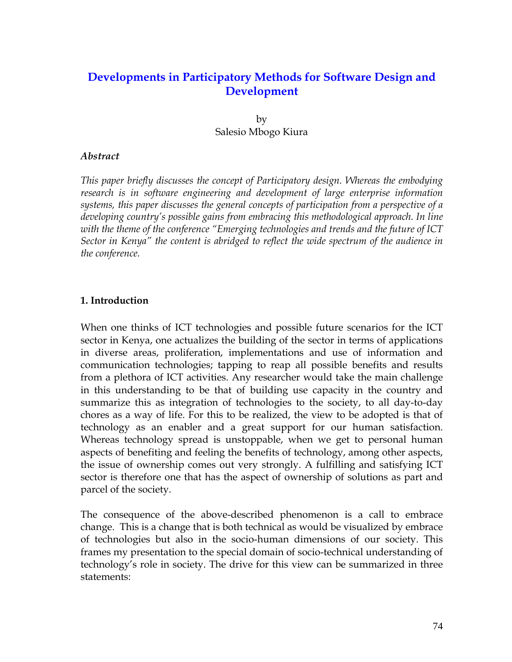# **Developments in Participatory Methods for Software Design and Development**

by Salesio Mbogo Kiura

### *Abstract*

*This paper briefly discusses the concept of Participatory design. Whereas the embodying research is in software engineering and development of large enterprise information systems, this paper discusses the general concepts of participation from a perspective of a developing country's possible gains from embracing this methodological approach. In line with the theme of the conference "Emerging technologies and trends and the future of ICT Sector in Kenya" the content is abridged to reflect the wide spectrum of the audience in the conference.*

#### **1. Introduction**

When one thinks of ICT technologies and possible future scenarios for the ICT sector in Kenya, one actualizes the building of the sector in terms of applications in diverse areas, proliferation, implementations and use of information and communication technologies; tapping to reap all possible benefits and results from a plethora of ICT activities. Any researcher would take the main challenge in this understanding to be that of building use capacity in the country and summarize this as integration of technologies to the society, to all day-to-day chores as a way of life. For this to be realized, the view to be adopted is that of technology as an enabler and a great support for our human satisfaction. Whereas technology spread is unstoppable, when we get to personal human aspects of benefiting and feeling the benefits of technology, among other aspects, the issue of ownership comes out very strongly. A fulfilling and satisfying ICT sector is therefore one that has the aspect of ownership of solutions as part and parcel of the society.

The consequence of the above-described phenomenon is a call to embrace change. This is a change that is both technical as would be visualized by embrace of technologies but also in the socio-human dimensions of our society. This frames my presentation to the special domain of socio-technical understanding of technology's role in society. The drive for this view can be summarized in three statements: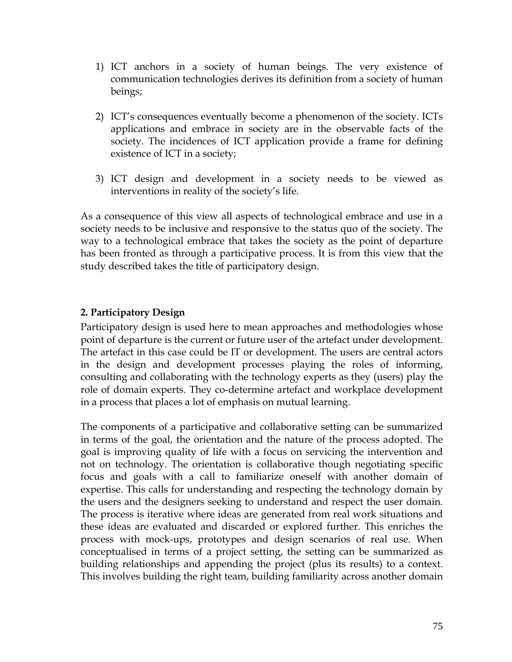- 1) ICT anchors in a society of human beings. The very existence of communication technologies derives its definition from a society of human beings;
- 2) ICT's consequences eventually become a phenomenon of the society. ICTs applications and embrace in society are in the observable facts of the society. The incidences of ICT application provide a frame for defining existence of ICT in a society;
- 3) ICT design and development in a society needs to be viewed as interventions in reality of the society's life.

As a consequence of this view all aspects of technological embrace and use in a society needs to be inclusive and responsive to the status quo of the society. The way to a technological embrace that takes the society as the point of departure has been fronted as through a participative process. It is from this view that the study described takes the title of participatory design.

# **2. Participatory Design**

Participatory design is used here to mean approaches and methodologies whose point of departure is the current or future user of the artefact under development. The artefact in this case could be IT or development. The users are central actors in the design and development processes playing the roles of informing, consulting and collaborating with the technology experts as they (users) play the role of domain experts. They co-determine artefact and workplace development in a process that places a lot of emphasis on mutual learning.

The components of a participative and collaborative setting can be summarized in terms of the goal, the orientation and the nature of the process adopted. The goal is improving quality of life with a focus on servicing the intervention and not on technology. The orientation is collaborative though negotiating specific focus and goals with a call to familiarize oneself with another domain of expertise. This calls for understanding and respecting the technology domain by the users and the designers seeking to understand and respect the user domain. The process is iterative where ideas are generated from real work situations and these ideas are evaluated and discarded or explored further. This enriches the process with mock-ups, prototypes and design scenarios of real use. When conceptualised in terms of a project setting, the setting can be summarized as building relationships and appending the project (plus its results) to a context. This involves building the right team, building familiarity across another domain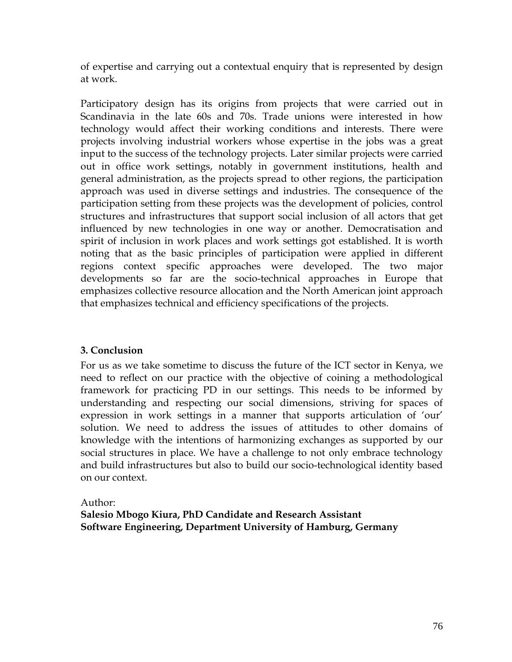of expertise and carrying out a contextual enquiry that is represented by design at work.

Participatory design has its origins from projects that were carried out in Scandinavia in the late 60s and 70s. Trade unions were interested in how technology would affect their working conditions and interests. There were projects involving industrial workers whose expertise in the jobs was a great input to the success of the technology projects. Later similar projects were carried out in office work settings, notably in government institutions, health and general administration, as the projects spread to other regions, the participation approach was used in diverse settings and industries. The consequence of the participation setting from these projects was the development of policies, control structures and infrastructures that support social inclusion of all actors that get influenced by new technologies in one way or another. Democratisation and spirit of inclusion in work places and work settings got established. It is worth noting that as the basic principles of participation were applied in different regions context specific approaches were developed. The two major developments so far are the socio-technical approaches in Europe that emphasizes collective resource allocation and the North American joint approach that emphasizes technical and efficiency specifications of the projects.

# **3. Conclusion**

For us as we take sometime to discuss the future of the ICT sector in Kenya, we need to reflect on our practice with the objective of coining a methodological framework for practicing PD in our settings. This needs to be informed by understanding and respecting our social dimensions, striving for spaces of expression in work settings in a manner that supports articulation of 'our' solution. We need to address the issues of attitudes to other domains of knowledge with the intentions of harmonizing exchanges as supported by our social structures in place. We have a challenge to not only embrace technology and build infrastructures but also to build our socio-technological identity based on our context.

### Author:

**Salesio Mbogo Kiura, PhD Candidate and Research Assistant Software Engineering, Department University of Hamburg, Germany**